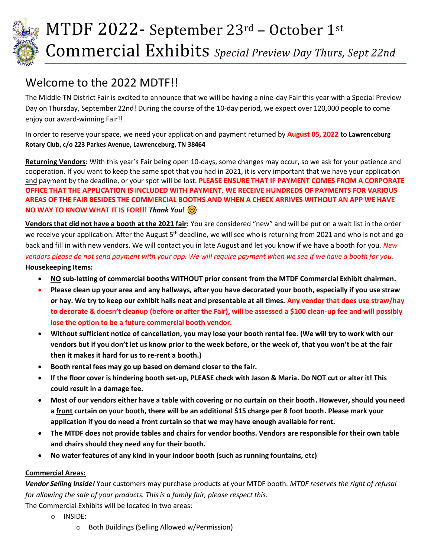

# Welcome to the 2022 MDTF!!

The Middle TN District Fair is excited to announce that we will be having a nine-day Fair this year with a Special Preview Day on Thursday, September 22nd! During the course of the 10-day period, we expect over 120,000 people to come enjoy our award-winning Fair!!

In order to reserve your space, we need your application and payment returned by **August 05, 2022** to **Lawrenceburg Rotary Club, c/o 223 Parkes Avenue, Lawrenceburg, TN 38464**

**Returning Vendors:** With this year's Fair being open 10-days, some changes may occur, so we ask for your patience and cooperation. If you want to keep the same spot that you had in 2021, it is very important that we have your application and payment by the deadline, or your spot will be lost. **PLEASE ENSURE THAT IF PAYMENT COMES FROM A CORPORATE OFFICE THAT THE APPLICATION IS INCLUDED WITH PAYMENT. WE RECEIVE HUNDREDS OF PAYMENTS FOR VARIOUS AREAS OF THE FAIR BESIDES THE COMMERCIAL BOOTHS AND WHEN A CHECK ARRIVES WITHOUT AN APP WE HAVE NO WAY TO KNOW WHAT IT IS FOR!!!** *Thank You***!**

**Vendors that did not have a booth at the 2021 fair:** You are considered "new" and will be put on a wait list in the order we receive your application. After the August 5<sup>th</sup> deadline, we will see who is returning from 2021 and who is not and go back and fill in with new vendors. We will contact you in late August and let you know if we have a booth for you. *New vendors please do not send payment with your app. We will require payment when we see if we have a booth for you.* **Housekeeping Items:**

- **NO sub-letting of commercial booths WITHOUT prior consent from the MTDF Commercial Exhibit chairmen.**
- **Please clean up your area and any hallways, after you have decorated your booth, especially if you use straw or hay. We try to keep our exhibit halls neat and presentable at all times. Any vendor that does use straw/hay to decorate & doesn't cleanup (before or after the Fair), will be assessed a \$100 clean-up fee and will possibly lose the option to be a future commercial booth vendor.**
- **Without sufficient notice of cancellation, you may lose your booth rental fee. (We will try to work with our vendors but if you don't let us know prior to the week before, or the week of, that you won't be at the fair then it makes it hard for us to re-rent a booth.)**
- **Booth rental fees may go up based on demand closer to the fair.**
- **If the floor cover is hindering booth set-up, PLEASE check with Jason & Maria. Do NOT cut or alter it! This could result in a damage fee.**
- **Most of our vendors either have a table with covering or no curtain on their booth. However, should you need a front curtain on your booth, there will be an additional \$15 charge per 8 foot booth. Please mark your application if you do need a front curtain so that we may have enough available for rent.**
- **The MTDF does not provide tables and chairs for vendor booths. Vendors are responsible for their own table and chairs should they need any for their booth.**
- **No water features of any kind in your indoor booth (such as running fountains, etc)**

### **Commercial Areas:**

*Vendor Selling Inside!* Your customers may purchase products at your MTDF booth. *MTDF reserves the right of refusal for allowing the sale of your products. This is a family fair, please respect this.*

The Commercial Exhibits will be located in two areas:

- o INSIDE:
	- o Both Buildings (Selling Allowed w/Permission)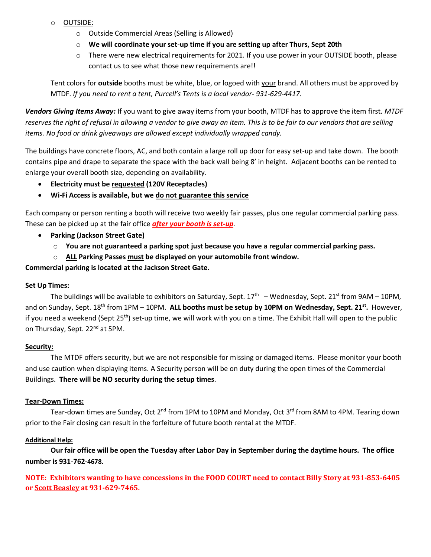- o OUTSIDE:
	- o Outside Commercial Areas (Selling is Allowed)
	- o **We will coordinate your set-up time if you are setting up after Thurs, Sept 20th**
	- o There were new electrical requirements for 2021. If you use power in your OUTSIDE booth, please contact us to see what those new requirements are!!

Tent colors for **outside** booths must be white, blue, or logoed with your brand. All others must be approved by MTDF. *If you need to rent a tent, Purcell's Tents is a local vendor- 931-629-4417.*

*Vendors Giving Items Away:* If you want to give away items from your booth, MTDF has to approve the item first. *MTDF reserves the right of refusal in allowing a vendor to give away an item. This is to be fair to our vendors that are selling items. No food or drink giveaways are allowed except individually wrapped candy.*

The buildings have concrete floors, AC, and both contain a large roll up door for easy set-up and take down. The booth contains pipe and drape to separate the space with the back wall being 8' in height. Adjacent booths can be rented to enlarge your overall booth size, depending on availability.

- **Electricity must be requested (120V Receptacles)**
- **Wi-Fi Access is available, but we do not guarantee this service**

Each company or person renting a booth will receive two weekly fair passes, plus one regular commercial parking pass. These can be picked up at the fair office *after your booth is set-up.*

- **Parking (Jackson Street Gate)**
	- o **You are not guaranteed a parking spot just because you have a regular commercial parking pass.**
	- o **ALL Parking Passes must be displayed on your automobile front window.**

**Commercial parking is located at the Jackson Street Gate.**

#### **Set Up Times:**

The buildings will be available to exhibitors on Saturday, Sept.  $17^{\text{th}}$   $-$  Wednesday, Sept. 21<sup>st</sup> from 9AM – 10PM, and on Sunday, Sept. 18th from 1PM – 10PM. **ALL booths must be setup by 10PM on Wednesday, Sept. 21st .** However, if you need a weekend (Sept 25<sup>th</sup>) set-up time, we will work with you on a time. The Exhibit Hall will open to the public on Thursday, Sept. 22<sup>nd</sup> at 5PM.

#### **Security:**

The MTDF offers security, but we are not responsible for missing or damaged items. Please monitor your booth and use caution when displaying items. A Security person will be on duty during the open times of the Commercial Buildings. **There will be NO security during the setup times**.

#### **Tear-Down Times:**

Tear-down times are Sunday, Oct 2<sup>nd</sup> from 1PM to 10PM and Monday, Oct 3<sup>rd</sup> from 8AM to 4PM. Tearing down prior to the Fair closing can result in the forfeiture of future booth rental at the MTDF.

#### **Additional Help:**

**Our fair office will be open the Tuesday after Labor Day in September during the daytime hours. The office number is 931-762-4678.**

**NOTE: Exhibitors wanting to have concessions in the FOOD COURT need to contact Billy Story at 931-853-6405 or Scott Beasley at 931-629-7465.**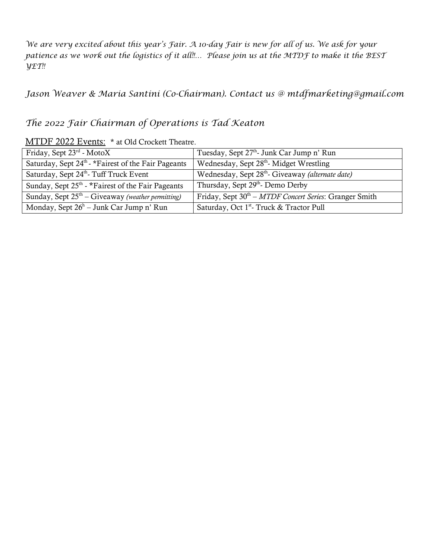*We are very excited about this year's Fair. A 10-day Fair is new for all of us. We ask for your patience as we work out the logistics of it all!!… Please join us at the MTDF to make it the BEST YET!!* 

*Jason Weaver & Maria Santini (Co-Chairman). Contact us @ mtdfmarketing@gmail.com*

## *The 2022 Fair Chairman of Operations is Tad Keaton*

### MTDF 2022 Events: \* at Old Crockett Theatre.

| Friday, Sept $23^{rd}$ - MotoX                                  | Tuesday, Sept 27 <sup>th</sup> - Junk Car Jump n' Run        |
|-----------------------------------------------------------------|--------------------------------------------------------------|
| Saturday, Sept 24 <sup>th</sup> - *Fairest of the Fair Pageants | Wednesday, Sept 28th-Midget Wrestling                        |
| Saturday, Sept 24th Tuff Truck Event                            | Wednesday, Sept 28 <sup>th</sup> - Giveaway (alternate date) |
| Sunday, Sept $25th$ - *Fairest of the Fair Pageants             | Thursday, Sept 29th- Demo Derby                              |
| Sunday, Sept $25th$ – Giveaway (weather permitting)             | Friday, Sept $30th - M TDF$ Concert Series: Granger Smith    |
| Monday, Sept $26^h$ – Junk Car Jump n' Run                      | Saturday, Oct 1 <sup>st</sup> - Truck & Tractor Pull         |